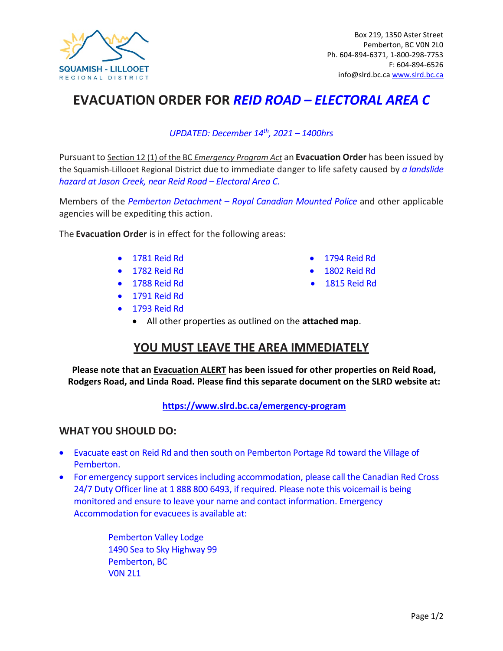

## **EVACUATION ORDER FOR** *REID ROAD – ELECTORAL AREA C*

#### *UPDATED: December 14th , 2021 – 1400hrs*

Pursuantto Section 12 (1) of the BC *Emergency Program Act* an **Evacuation Order** has been issued by the Squamish-Lillooet Regional District due to immediate danger to life safety caused by *a landslide hazard at Jason Creek, near Reid Road – Electoral Area C.*

Members of the *Pemberton Detachment – Royal Canadian Mounted Police* and other applicable agencies will be expediting this action.

The **Evacuation Order** is in effect for the following areas:

- 1781 Reid Rd 1794 Reid Rd
- 1782 Reid Rd 1802 Reid Rd
- 1788 Reid Rd 1815 Reid Rd
- 1791 Reid Rd
- 1793 Reid Rd
	- All other properties as outlined on the **attached map**.

### **YOU MUST LEAVE THE AREA IMMEDIATELY**

**Please note that an Evacuation ALERT has been issued for other properties on Reid Road, Rodgers Road, and Linda Road. Please find this separate document on the SLRD website at:**

**<https://www.slrd.bc.ca/emergency-program>**

#### **WHAT YOU SHOULD DO:**

- Evacuate east on Reid Rd and then south on Pemberton Portage Rd toward the Village of Pemberton.
- For emergency support services including accommodation, please call the Canadian Red Cross 24/7 Duty Officer line at 1 888 800 6493, if required. Please note this voicemail is being monitored and ensure to leave your name and contact information. Emergency Accommodation for evacuees is available at:

Pemberton Valley Lodge 1490 Sea to Sky Highway 99 Pemberton, BC V0N 2L1

- 
- 
-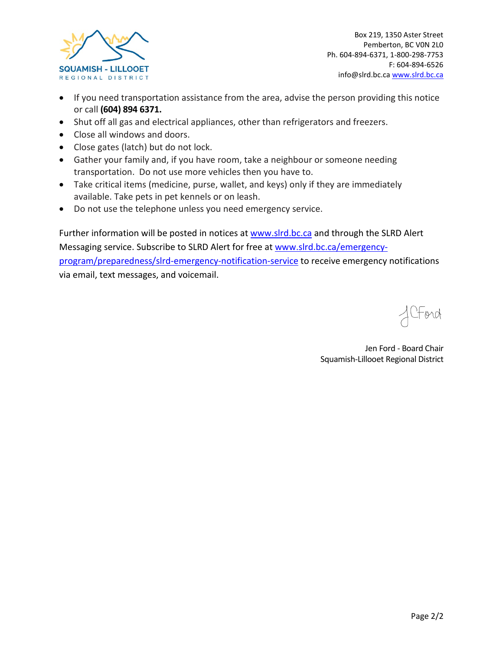

Box 219, 1350 Aster Street Pemberton, BC V0N 2L0 Ph. 604-894-6371, 1-800-298-7753 F: 604-894-6526 info@slrd.bc.c[a www.slrd.bc.ca](http://www.slrd.bc.ca/)

- If you need transportation assistance from the area, advise the person providing this notice or call **(604) 894 6371.**
- Shut off all gas and electrical appliances, other than refrigerators and freezers.
- Close all windows and doors.
- Close gates (latch) but do not lock.
- Gather your family and, if you have room, take a neighbour or someone needing transportation. Do not use more vehicles then you have to.
- Take critical items (medicine, purse, wallet, and keys) only if they are immediately available. Take pets in pet kennels or on leash.
- Do not use the telephone unless you need emergency service.

Further information will be posted in notices at [www.slrd.bc.ca](http://www.slrd.bc.ca/) and through the SLRD Alert Messaging service. Subscribe to SLRD Alert for free a[t www.slrd.bc.ca/emergency](http://www.slrd.bc.ca/emergency-program/preparedness/slrd-emergency-notification-service)[program/preparedness/slrd-emergency-notification-service](http://www.slrd.bc.ca/emergency-program/preparedness/slrd-emergency-notification-service) to receive emergency notifications via email, text messages, and voicemail.

, CFord

Jen Ford - Board Chair Squamish-Lillooet Regional District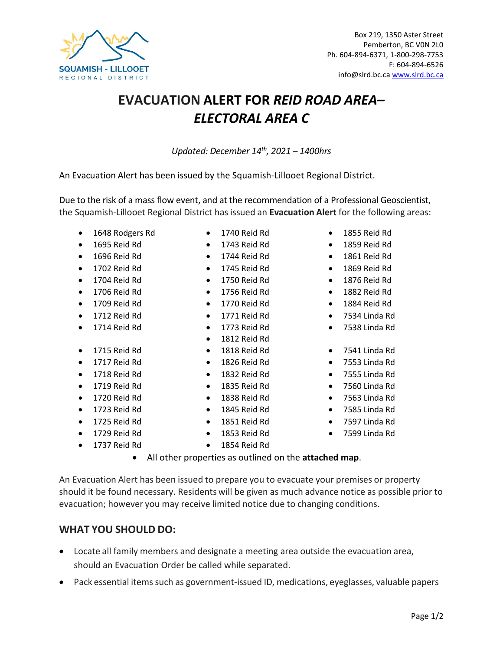# **EVACUATION ALERT FOR** *REID ROAD AREA– ELECTORAL AREA C*

*Updated: December 14th, 2021 – 1400hrs*

An Evacuation Alert has been issued by the Squamish-Lillooet Regional District.

Due to the risk of a mass flow event, and at the recommendation of a Professional Geoscientist, the Squamish-Lillooet Regional District hasissued an **Evacuation Alert** for the following areas:

- 1648 Rodgers Rd 1740 Reid Rd 1855 Reid Rd
- 
- 
- 
- 
- 
- 
- 
- 
- 1715 Reid Rd
- 
- 
- 
- 
- 1723 Reid Rd 1845 Reid Rd 7585 Linda Rd
- 
- 
- 1737 Reid Rd 1854 Reid Rd
- 
- 1695 Reid Rd 1743 Reid Rd 1859 Reid Rd
- 1696 Reid Rd 1744 Reid Rd 1861 Reid Rd
- 1702 Reid Rd 1745 Reid Rd 1869 Reid Rd
- 1704 Reid Rd 1750 Reid Rd 1876 Reid Rd
- 1706 Reid Rd 1756 Reid Rd 1882 Reid Rd
	-
	-
	- 1812 Reid Rd
	-
	-
	-
	-
	-
	-
	-
	-
	-
- -
	- 1729 Reid Rd 1853 Reid Rd 7599 Linda Rd
		-
- 1709 Reid Rd 1770 Reid Rd 1884 Reid Rd
	-
	- 1818 Reid Rd 7541 Linda Rd
- 1717 Reid Rd 1826 Reid Rd 7553 Linda Rd
- 1718 Reid Rd 1832 Reid Rd 7555 Linda Rd
- 1719 Reid Rd 1835 Reid Rd 7560 Linda Rd
- 1720 Reid Rd 1838 Reid Rd 7563 Linda Rd
	-
- 1725 Reid Rd 1851 Reid Rd 7597 Linda Rd
	-
	- All other properties as outlined on the **attached map**.

An Evacuation Alert has been issued to prepare you to evacuate your premises or property should it be found necessary. Residents will be given as much advance notice as possible prior to evacuation; however you may receive limited notice due to changing conditions.

#### **WHAT YOU SHOULD DO:**

- Locate all family members and designate a meeting area outside the evacuation area, should an Evacuation Order be called while separated.
- Pack essential items such as government-issued ID, medications, eyeglasses, valuable papers
- -
	-
	-
	-
	-
	-
	-
	-
- -
	-
- -
	-
	-

• 1712 Reid Rd • 1771 Reid Rd • 7534 Linda Rd • 1714 Reid Rd • 1773 Reid Rd • 7538 Linda Rd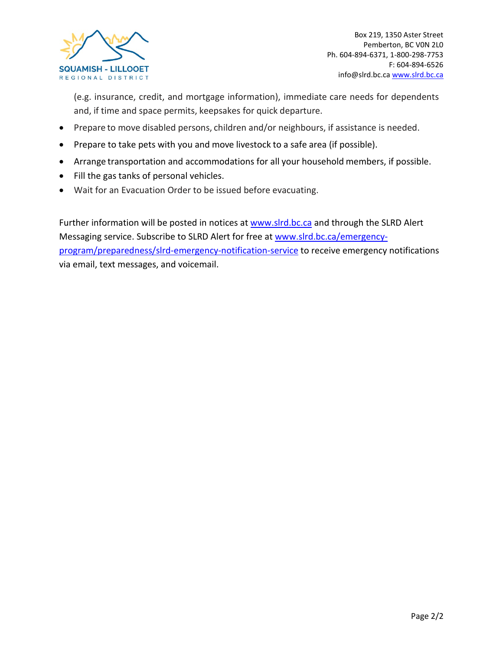

(e.g. insurance, credit, and mortgage information), immediate care needs for dependents and, if time and space permits, keepsakes for quick departure.

- Prepare to move disabled persons, children and/or neighbours, if assistance is needed.
- Prepare to take pets with you and move livestock to a safe area (if possible).
- Arrange transportation and accommodations for all your household members, if possible.
- Fill the gas tanks of personal vehicles.
- Wait for an Evacuation Order to be issued before evacuating.

Further information will be posted in notices at [www.slrd.bc.ca](http://www.slrd.bc.ca/) and through the SLRD Alert Messaging service. Subscribe to SLRD Alert for free a[t www.slrd.bc.ca/emergency](http://www.slrd.bc.ca/emergency-program/preparedness/slrd-emergency-notification-service)[program/preparedness/slrd-emergency-notification-service](http://www.slrd.bc.ca/emergency-program/preparedness/slrd-emergency-notification-service) to receive emergency notifications via email, text messages, and voicemail.